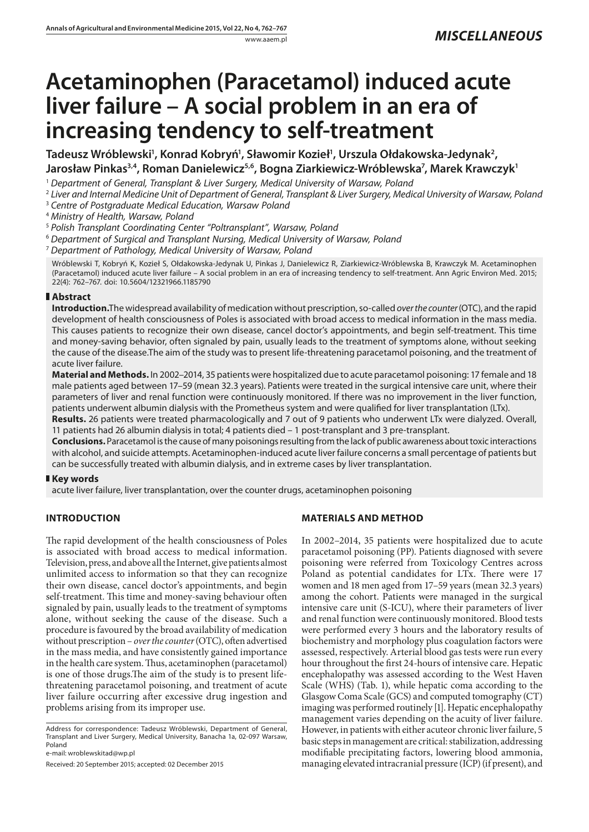# **Acetaminophen (Paracetamol) induced acute liver failure – A social problem in an era of increasing tendency to self-treatment**

Tadeusz Wróblewski<sup>1</sup>, Konrad Kobryń<sup>1</sup>, Sławomir Kozieł<sup>1</sup>, Urszula Ołdakowska-Jedynak<sup>2</sup>, Jarosław Pinkas<sup>3,4</sup>, Roman Danielewicz<sup>5,6</sup>, Bogna Ziarkiewicz-Wróblewska<sup>7</sup>, Marek Krawczyk<sup>1</sup>

<sup>1</sup> *Department of General, Transplant & Liver Surgery, Medical University of Warsaw, Poland*

<sup>2</sup> *Liver and Internal Medicine Unit of Department of General, Transplant & Liver Surgery, Medical University of Warsaw, Poland*

<sup>3</sup> *Centre of Postgraduate Medical Education, Warsaw Poland*

<sup>4</sup> *Ministry of Health, Warsaw, Poland*

<sup>5</sup> *Polish Transplant Coordinating Center "Poltransplant", Warsaw, Poland*

<sup>6</sup> *Department of Surgical and Transplant Nursing, Medical University of Warsaw, Poland*

<sup>7</sup> *Department of Pathology, Medical University of Warsaw, Poland*

Wróblewski T, Kobryń K, Kozieł S, Ołdakowska-Jedynak U, Pinkas J, Danielewicz R, Ziarkiewicz-Wróblewska B, Krawczyk M. Acetaminophen (Paracetamol) induced acute liver failure – A social problem in an era of increasing tendency to self-treatment. Ann Agric Environ Med. 2015; 22(4): 762–767. doi: 10.5604/12321966.1185790

## **Abstract**

**Introduction.**The widespread availability of medication without prescription, so-called *over the counter* (OTC), and the rapid development of health consciousness of Poles is associated with broad access to medical information in the mass media. This causes patients to recognize their own disease, cancel doctor's appointments, and begin self-treatment. This time and money-saving behavior, often signaled by pain, usually leads to the treatment of symptoms alone, without seeking the cause of the disease.The aim of the study was to present life-threatening paracetamol poisoning, and the treatment of acute liver failure.

**Material and Methods.** In 2002–2014, 35 patients were hospitalized due to acute paracetamol poisoning: 17 female and 18 male patients aged between 17–59 (mean 32.3 years). Patients were treated in the surgical intensive care unit, where their parameters of liver and renal function were continuously monitored. If there was no improvement in the liver function, patients underwent albumin dialysis with the Prometheus system and were qualified for liver transplantation (LTx).

**Results.** 26 patients were treated pharmacologically and 7 out of 9 patients who underwent LTx were dialyzed. Overall, 11 patients had 26 albumin dialysis in total; 4 patients died – 1 post-transplant and 3 pre-transplant.

**Conclusions.** Paracetamol is the cause of many poisonings resulting from the lack of public awareness about toxic interactions with alcohol, and suicide attempts. Acetaminophen-induced acute liver failure concerns a small percentage of patients but can be successfully treated with albumin dialysis, and in extreme cases by liver transplantation.

## **Key words**

acute liver failure, liver transplantation, over the counter drugs, acetaminophen poisoning

## **INTRODUCTION**

The rapid development of the health consciousness of Poles is associated with broad access to medical information. Television, press, and above all the Internet, give patients almost unlimited access to information so that they can recognize their own disease, cancel doctor's appointments, and begin self-treatment. This time and money-saving behaviour often signaled by pain, usually leads to the treatment of symptoms alone, without seeking the cause of the disease. Such a procedure is favoured by the broad availability of medication without prescription – *over the counter* (OTC), often advertised in the mass media, and have consistently gained importance in the health care system. Thus, acetaminophen (paracetamol) is one of those drugs.The aim of the study is to present lifethreatening paracetamol poisoning, and treatment of acute liver failure occurring after excessive drug ingestion and problems arising from its improper use.

Address for correspondence: Tadeusz Wróblewski, Department of General, Transplant and Liver Surgery, Medical University, Banacha 1a, 02-097 Warsaw, Poland

e-mail: [wroblewskitad@wp.pl](mailto:wroblewskitad@wp.pl)

Received: 20 September 2015; accepted: 02 December 2015

## **MATERIALS AND METHOD**

In 2002–2014, 35 patients were hospitalized due to acute paracetamol poisoning (PP). Patients diagnosed with severe poisoning were referred from Toxicology Centres across Poland as potential candidates for LTx. There were 17 women and 18 men aged from 17–59 years (mean 32.3 years) among the cohort. Patients were managed in the surgical intensive care unit (S-ICU), where their parameters of liver and renal function were continuously monitored. Blood tests were performed every 3 hours and the laboratory results of biochemistry and morphology plus coagulation factors were assessed, respectively. Arterial blood gas tests were run every hour throughout the first 24-hours of intensive care. Hepatic encephalopathy was assessed according to the West Haven Scale (WHS) (Tab. 1), while hepatic coma according to the Glasgow Coma Scale (GCS) and computed tomography (CT) imaging was performed routinely [1]. Hepatic encephalopathy management varies depending on the acuity of liver failure. However, in patients with either acuteor chronic liver failure, 5 basic steps in management are critical: stabilization, addressing modifiable precipitating factors, lowering blood ammonia, managing elevated intracranial pressure (ICP) (if present), and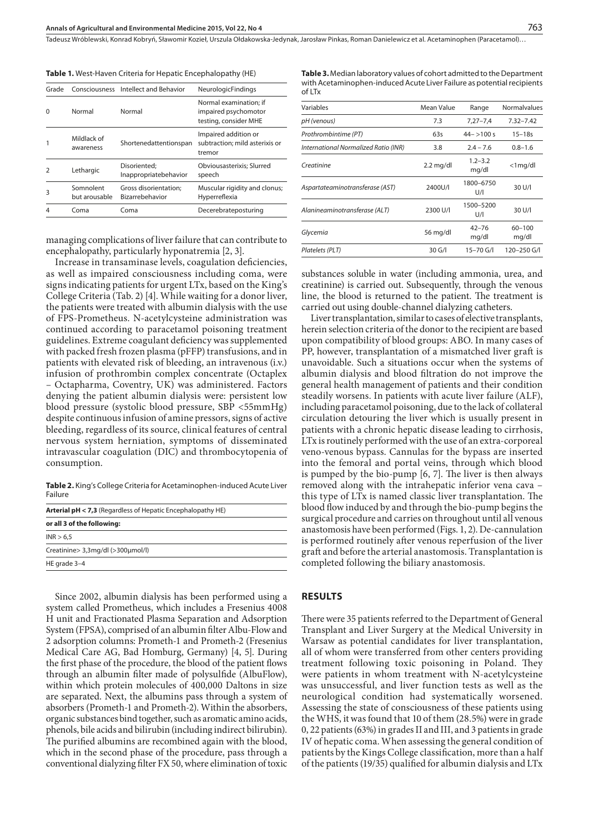Tadeusz Wróblewski, Konrad Kobryń, Sławomir Kozieł, Urszula Ołdakowska-Jedynak, Jarosław Pinkas, Roman Danielewicz et al. Acetaminophen (Paracetamol)…

**Table 1.** West-Haven Criteria for Hepatic Encephalopathy (HE)

| Grade |                            | Consciousness Intellect and Behavior     | <b>NeurologicFindings</b>                                               |
|-------|----------------------------|------------------------------------------|-------------------------------------------------------------------------|
| O     | Normal                     | Normal                                   | Normal examination: if<br>impaired psychomotor<br>testing, consider MHE |
|       | Mildlack of<br>awareness   | Shortenedattentionspan                   | Impaired addition or<br>subtraction; mild asterixis or<br>tremor        |
|       | Lethargic                  | Disoriented:<br>Inappropriatebehavior    | Obviousasterixis; Slurred<br>speech                                     |
| 3     | Somnolent<br>but arousable | Gross disorientation;<br>Bizarrebehavior | Muscular rigidity and clonus;<br>Hyperreflexia                          |
|       | Coma                       | Coma                                     | Decerebrateposturing                                                    |
|       |                            |                                          |                                                                         |

managing complications of liver failure that can contribute to encephalopathy, particularly hyponatremia [2, 3].

Increase in transaminase levels, coagulation deficiencies, as well as impaired consciousness including coma, were signs indicating patients for urgent LTx, based on the King's College Criteria (Tab. 2) [4]. While waiting for a donor liver, the patients were treated with albumin dialysis with the use of FPS-Prometheus. N-acetylcysteine administration was continued according to paracetamol poisoning treatment guidelines. Extreme coagulant deficiency was supplemented with packed fresh frozen plasma (pFFP) transfusions, and in patients with elevated risk of bleeding, an intravenous (i.v.) infusion of prothrombin complex concentrate (Octaplex – Octapharma, Coventry, UK) was administered. Factors denying the patient albumin dialysis were: persistent low blood pressure (systolic blood pressure, SBP <55mmHg) despite continuous infusion of amine pressors, signs of active bleeding, regardless of its source, clinical features of central nervous system herniation, symptoms of disseminated intravascular coagulation (DIC) and thrombocytopenia of consumption.

**Table 2.** King's College Criteria for Acetaminophen-induced Acute Liver Failure

| or all 3 of the following:        |
|-----------------------------------|
|                                   |
| INR > 6.5                         |
| Creatinine> 3,3mg/dl (>300µmol/l) |
| HE grade 3-4                      |

Since 2002, albumin dialysis has been performed using a system called Prometheus, which includes a Fresenius 4008 H unit and Fractionated Plasma Separation and Adsorption System (FPSA), comprised of an albumin filter Albu-Flow and 2 adsorption columns: Prometh-1 and Prometh-2 (Fresenius Medical Care AG, Bad Homburg, Germany) [4, 5]. During the first phase of the procedure, the blood of the patient flows through an albumin filter made of polysulfide (AlbuFlow), within which protein molecules of 400,000 Daltons in size are separated. Next, the albumins pass through a system of absorbers (Prometh-1 and Prometh-2). Within the absorbers, organic substances bind together, such as aromatic amino acids, phenols, bile acids and bilirubin (including indirect bilirubin). The purified albumins are recombined again with the blood, which in the second phase of the procedure, pass through a conventional dialyzing filter FX 50, where elimination of toxic

**Table 3.** Median laboratory values of cohort admitted to the Department with Acetaminophen-induced Acute Liver Failure as potential recipients of LTx

| Variables                            | Mean Value          | Range                | Normalvalues        |
|--------------------------------------|---------------------|----------------------|---------------------|
| pH (venous)                          | 7.3                 | $7,27 - 7,4$         | $7.32 - 7.42$       |
| Prothrombintime (PT)                 | 63s                 | $44 - 100$ s         | $15 - 18s$          |
| International Normalized Ratio (INR) | 3.8                 | $2.4 - 7.6$          | $0.8 - 1.6$         |
| Creatinine                           | $2.2 \text{ mg/dl}$ | $1.2 - 3.2$<br>mg/dl | $<$ 1 mg/dl         |
| Aspartateaminotransferase (AST)      | 2400U/L             | 1800-6750<br>U/I     | 30 U/I              |
| Alanineaminotransferase (ALT)        | 2300 U/I            | 1500-5200<br>U/I     | 30 U/I              |
| Glycemia                             | 56 mg/dl            | $42 - 76$<br>mg/dl   | $60 - 100$<br>mg/dl |
| Platelets (PLT)                      | 30 G/I              | 15-70 G/I            | 120-250 G/I         |

substances soluble in water (including ammonia, urea, and creatinine) is carried out. Subsequently, through the venous line, the blood is returned to the patient. The treatment is carried out using double-channel dialyzing catheters.

Liver transplantation, similar to cases of elective transplants, herein selection criteria of the donor to the recipient are based upon compatibility of blood groups: ABO. In many cases of PP, however, transplantation of a mismatched liver graft is unavoidable. Such a situations occur when the systems of albumin dialysis and blood filtration do not improve the general health management of patients and their condition steadily worsens. In patients with acute liver failure (ALF), including paracetamol poisoning, due to the lack of collateral circulation detouring the liver which is usually present in patients with a chronic hepatic disease leading to cirrhosis, LTx is routinely performed with the use of an extra-corporeal veno-venous bypass. Cannulas for the bypass are inserted into the femoral and portal veins, through which blood is pumped by the bio-pump [6, 7]. The liver is then always removed along with the intrahepatic inferior vena cava – this type of LTx is named classic liver transplantation. The blood flow induced by and through the bio-pump begins the surgical procedure and carries on throughout until all venous anastomosis have been performed (Figs. 1, 2). De-cannulation is performed routinely after venous reperfusion of the liver graft and before the arterial anastomosis. Transplantation is completed following the biliary anastomosis.

#### **RESULTS**

There were 35 patients referred to the Department of General Transplant and Liver Surgery at the Medical University in Warsaw as potential candidates for liver transplantation, all of whom were transferred from other centers providing treatment following toxic poisoning in Poland. They were patients in whom treatment with N-acetylcysteine was unsuccessful, and liver function tests as well as the neurological condition had systematically worsened. Assessing the state of consciousness of these patients using the WHS, it was found that 10 of them (28.5%) were in grade 0, 22 patients (63%) in grades II and III, and 3 patients in grade IV of hepatic coma. When assessing the general condition of patients by the Kings College classification, more than a half of the patients (19/35) qualified for albumin dialysis and LTx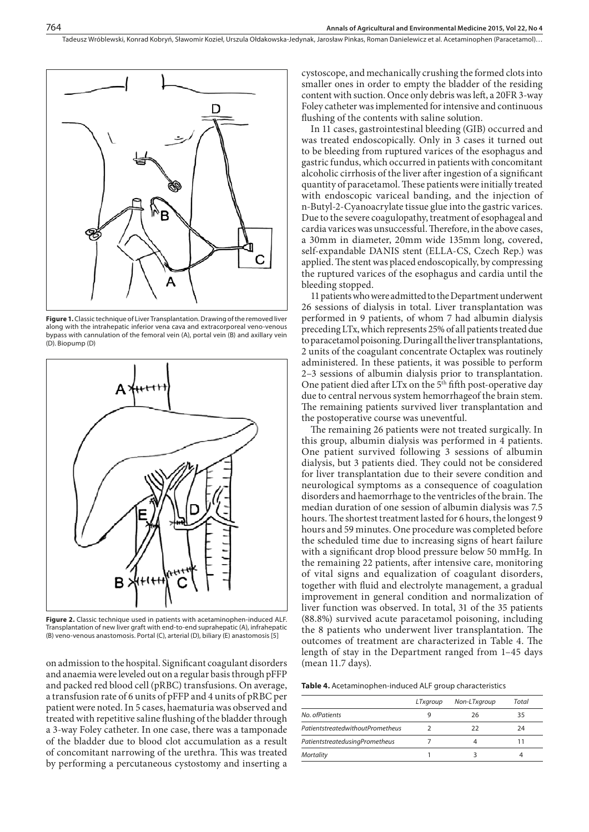Tadeusz Wróblewski, Konrad Kobryń, Sławomir Kozieł, Urszula Ołdakowska-Jedynak, Jarosław Pinkas, Roman Danielewicz et al. Acetaminophen (Paracetamol)…



**Figure 1.** Classic technique of Liver Transplantation. Drawing of the removed liver along with the intrahepatic inferior vena cava and extracorporeal veno-venous bypass with cannulation of the femoral vein (A), portal vein (B) and axillary vein (D). Biopump (D)



Figure 2. Classic technique used in patients with acetaminophen-induced ALF. Transplantation of new liver graft with end-to-end suprahepatic (A), infrahepatic (B) veno-venous anastomosis. Portal (C), arterial (D), biliary (E) anastomosis [5]

on admission to the hospital. Significant coagulant disorders and anaemia were leveled out on a regular basis through pFFP and packed red blood cell (pRBC) transfusions. On average, a transfusion rate of 6 units of pFFP and 4 units of pRBC per patient were noted. In 5 cases, haematuria was observed and treated with repetitive saline flushing of the bladder through a 3-way Foley catheter. In one case, there was a tamponade of the bladder due to blood clot accumulation as a result of concomitant narrowing of the urethra. This was treated by performing a percutaneous cystostomy and inserting a

cystoscope, and mechanically crushing the formed clots into smaller ones in order to empty the bladder of the residing content with suction. Once only debris was left, a 20FR 3-way Foley catheter was implemented for intensive and continuous flushing of the contents with saline solution.

In 11 cases, gastrointestinal bleeding (GIB) occurred and was treated endoscopically. Only in 3 cases it turned out to be bleeding from ruptured varices of the esophagus and gastric fundus, which occurred in patients with concomitant alcoholic cirrhosis of the liver after ingestion of a significant quantity of paracetamol. These patients were initially treated with endoscopic variceal banding, and the injection of n-Butyl-2-Cyanoacrylate tissue glue into the gastric varices. Due to the severe coagulopathy, treatment of esophageal and cardia varices was unsuccessful. Therefore, in the above cases, a 30mm in diameter, 20mm wide 135mm long, covered, self-expandable DANIS stent (ELLA-CS, Czech Rep.) was applied. The stent was placed endoscopically, by compressing the ruptured varices of the esophagus and cardia until the bleeding stopped.

11 patients who were admitted to the Department underwent 26 sessions of dialysis in total. Liver transplantation was performed in 9 patients, of whom 7 had albumin dialysis preceding LTx, which represents 25% of all patients treated due to paracetamol poisoning. During all the liver transplantations, 2 units of the coagulant concentrate Octaplex was routinely administered. In these patients, it was possible to perform 2–3 sessions of albumin dialysis prior to transplantation. One patient died after LTx on the  $5<sup>th</sup>$  fifth post-operative day due to central nervous system hemorrhageof the brain stem. The remaining patients survived liver transplantation and the postoperative course was uneventful.

The remaining 26 patients were not treated surgically. In this group, albumin dialysis was performed in 4 patients. One patient survived following 3 sessions of albumin dialysis, but 3 patients died. They could not be considered for liver transplantation due to their severe condition and neurological symptoms as a consequence of coagulation disorders and haemorrhage to the ventricles of the brain. The median duration of one session of albumin dialysis was 7.5 hours. The shortest treatment lasted for 6 hours, the longest 9 hours and 59 minutes. One procedure was completed before the scheduled time due to increasing signs of heart failure with a significant drop blood pressure below 50 mmHg. In the remaining 22 patients, after intensive care, monitoring of vital signs and equalization of coagulant disorders, together with fluid and electrolyte management, a gradual improvement in general condition and normalization of liver function was observed. In total, 31 of the 35 patients (88.8%) survived acute paracetamol poisoning, including the 8 patients who underwent liver transplantation. The outcomes of treatment are characterized in Table 4. The length of stay in the Department ranged from 1–45 days (mean 11.7 days).

**Table 4.** Acetaminophen-induced ALF group characteristics

|                                  | LTxaroup | Non-LTxgroup | Total |
|----------------------------------|----------|--------------|-------|
| No. ofPatients                   |          | 26           | 35    |
| PatientstreatedwithoutPrometheus |          | 22           | 24    |
| PatientstreatedusingPrometheus   |          |              |       |
| Mortality                        |          |              |       |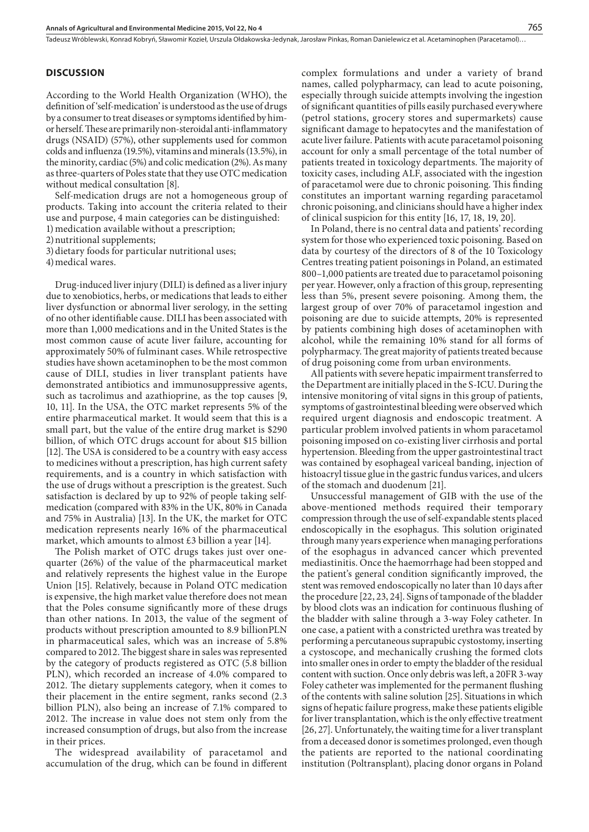#### **DISCUSSION**

According to the World Health Organization (WHO), the definition of 'self-medication' is understood as the use of drugs by a consumer to treat diseases or symptoms identified by himor herself. These are primarily non-steroidal anti-inflammatory drugs (NSAID) (57%), other supplements used for common colds and influenza (19.5%), vitamins and minerals (13.5%), in the minority, cardiac (5%) and colic medication (2%). As many as three-quarters of Poles state that they use OTC medication without medical consultation [8].

Self-medication drugs are not a homogeneous group of products. Taking into account the criteria related to their use and purpose, 4 main categories can be distinguished:

1) medication available without a prescription;

2)nutritional supplements;

3)dietary foods for particular nutritional uses;

4)medical wares.

Drug-induced liver injury (DILI) is defined as a liver injury due to xenobiotics, herbs, or medications that leads to either liver dysfunction or abnormal liver serology, in the setting of no other identifiable cause. DILI has been associated with more than 1,000 medications and in the United States is the most common cause of acute liver failure, accounting for approximately 50% of fulminant cases. While retrospective studies have shown acetaminophen to be the most common cause of DILI, studies in liver transplant patients have demonstrated antibiotics and immunosuppressive agents, such as tacrolimus and azathioprine, as the top causes [9, 10, 11]. In the USA, the OTC market represents 5% of the entire pharmaceutical market. It would seem that this is a small part, but the value of the entire drug market is \$290 billion, of which OTC drugs account for about \$15 billion [12]. The USA is considered to be a country with easy access to medicines without a prescription, has high current safety requirements, and is a country in which satisfaction with the use of drugs without a prescription is the greatest. Such satisfaction is declared by up to 92% of people taking selfmedication (compared with 83% in the UK, 80% in Canada and 75% in Australia) [13]. In the UK, the market for OTC medication represents nearly 16% of the pharmaceutical market, which amounts to almost  $\pounds 3$  billion a year [14].

The Polish market of OTC drugs takes just over onequarter (26%) of the value of the pharmaceutical market and relatively represents the highest value in the Europe Union [15]. Relatively, because in Poland OTC medication is expensive, the high market value therefore does not mean that the Poles consume significantly more of these drugs than other nations. In 2013, the value of the segment of products without prescription amounted to 8.9 billionPLN in pharmaceutical sales, which was an increase of 5.8% compared to 2012. The biggest share in sales was represented by the category of products registered as OTC (5.8 billion PLN), which recorded an increase of 4.0% compared to 2012. The dietary supplements category, when it comes to their placement in the entire segment, ranks second (2.3 billion PLN), also being an increase of 7.1% compared to 2012. The increase in value does not stem only from the increased consumption of drugs, but also from the increase in their prices.

The widespread availability of paracetamol and accumulation of the drug, which can be found in different complex formulations and under a variety of brand names, called polypharmacy, can lead to acute poisoning, especially through suicide attempts involving the ingestion of significant quantities of pills easily purchased everywhere (petrol stations, grocery stores and supermarkets) cause significant damage to hepatocytes and the manifestation of acute liver failure. Patients with acute paracetamol poisoning account for only a small percentage of the total number of patients treated in toxicology departments. The majority of toxicity cases, including ALF, associated with the ingestion of paracetamol were due to chronic poisoning. This finding constitutes an important warning regarding paracetamol chronic poisoning, and clinicians should have a higher index of clinical suspicion for this entity [16, 17, 18, 19, 20].

In Poland, there is no central data and patients' recording system for those who experienced toxic poisoning. Based on data by courtesy of the directors of 8 of the 10 Toxicology Centres treating patient poisonings in Poland, an estimated 800–1,000 patients are treated due to paracetamol poisoning per year. However, only a fraction of this group, representing less than 5%, present severe poisoning. Among them, the largest group of over 70% of paracetamol ingestion and poisoning are due to suicide attempts, 20% is represented by patients combining high doses of acetaminophen with alcohol, while the remaining 10% stand for all forms of polypharmacy. The great majority of patients treated because of drug poisoning come from urban environments.

All patients with severe hepatic impairment transferred to the Department are initially placed in the S-ICU. During the intensive monitoring of vital signs in this group of patients, symptoms of gastrointestinal bleeding were observed which required urgent diagnosis and endoscopic treatment. A particular problem involved patients in whom paracetamol poisoning imposed on co-existing liver cirrhosis and portal hypertension. Bleeding from the upper gastrointestinal tract was contained by esophageal variceal banding, injection of histoacryl tissue glue in the gastric fundus varices, and ulcers of the stomach and duodenum [21].

Unsuccessful management of GIB with the use of the above-mentioned methods required their temporary compression through the use of self-expandable stents placed endoscopically in the esophagus. This solution originated through many years experience when managing perforations of the esophagus in advanced cancer which prevented mediastinitis. Once the haemorrhage had been stopped and the patient's general condition significantly improved, the stent was removed endoscopically no later than 10 days after the procedure [22, 23, 24]. Signs of tamponade of the bladder by blood clots was an indication for continuous flushing of the bladder with saline through a 3-way Foley catheter. In one case, a patient with a constricted urethra was treated by performing a percutaneous suprapubic cystostomy, inserting a cystoscope, and mechanically crushing the formed clots into smaller ones in order to empty the bladder of the residual content with suction. Once only debris was left, a 20FR 3-way Foley catheter was implemented for the permanent flushing of the contents with saline solution [25]. Situations in which signs of hepatic failure progress, make these patients eligible for liver transplantation, which is the only effective treatment [26, 27]. Unfortunately, the waiting time for a liver transplant from a deceased donor is sometimes prolonged, even though the patients are reported to the national coordinating institution (Poltransplant), placing donor organs in Poland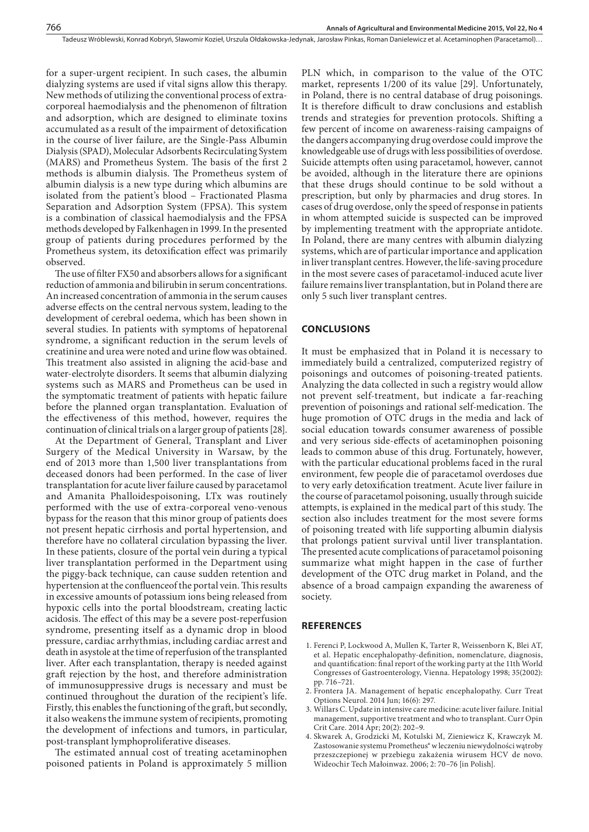for a super-urgent recipient. In such cases, the albumin dialyzing systems are used if vital signs allow this therapy. New methods of utilizing the conventional process of extracorporeal haemodialysis and the phenomenon of filtration and adsorption, which are designed to eliminate toxins accumulated as a result of the impairment of detoxification in the course of liver failure, are the Single-Pass Albumin Dialysis (SPAD), Molecular Adsorbents Recirculating System (MARS) and Prometheus System. The basis of the first 2 methods is albumin dialysis. The Prometheus system of albumin dialysis is a new type during which albumins are isolated from the patient's blood – Fractionated Plasma Separation and Adsorption System (FPSA). This system is a combination of classical haemodialysis and the FPSA methods developed by Falkenhagen in 1999. In the presented group of patients during procedures performed by the Prometheus system, its detoxification effect was primarily observed.

The use of filter FX50 and absorbers allows for a significant reduction of ammonia and bilirubin in serum concentrations. An increased concentration of ammonia in the serum causes adverse effects on the central nervous system, leading to the development of cerebral oedema, which has been shown in several studies. In patients with symptoms of hepatorenal syndrome, a significant reduction in the serum levels of creatinine and urea were noted and urine flow was obtained. This treatment also assisted in aligning the acid-base and water-electrolyte disorders. It seems that albumin dialyzing systems such as MARS and Prometheus can be used in the symptomatic treatment of patients with hepatic failure before the planned organ transplantation. Evaluation of the effectiveness of this method, however, requires the continuation of clinical trials on a larger group of patients [28].

At the Department of General, Transplant and Liver Surgery of the Medical University in Warsaw, by the end of 2013 more than 1,500 liver transplantations from deceased donors had been performed. In the case of liver transplantation for acute liver failure caused by paracetamol and Amanita Phalloidespoisoning, LTx was routinely performed with the use of extra-corporeal veno-venous bypass for the reason that this minor group of patients does not present hepatic cirrhosis and portal hypertension, and therefore have no collateral circulation bypassing the liver. In these patients, closure of the portal vein during a typical liver transplantation performed in the Department using the piggy-back technique, can cause sudden retention and hypertension at the confluenceof the portal vein. This results in excessive amounts of potassium ions being released from hypoxic cells into the portal bloodstream, creating lactic acidosis. The effect of this may be a severe post-reperfusion syndrome, presenting itself as a dynamic drop in blood pressure, cardiac arrhythmias, including cardiac arrest and death in asystole at the time of reperfusion of the transplanted liver. After each transplantation, therapy is needed against graft rejection by the host, and therefore administration of immunosuppressive drugs is necessary and must be continued throughout the duration of the recipient's life. Firstly, this enables the functioning of the graft, but secondly, it also weakens the immune system of recipients, promoting the development of infections and tumors, in particular, post-transplant lymphoproliferative diseases.

The estimated annual cost of treating acetaminophen poisoned patients in Poland is approximately 5 million

PLN which, in comparison to the value of the OTC market, represents 1/200 of its value [29]. Unfortunately, in Poland, there is no central database of drug poisonings. It is therefore difficult to draw conclusions and establish trends and strategies for prevention protocols. Shifting a few percent of income on awareness-raising campaigns of the dangers accompanying drug overdose could improve the knowledgeable use of drugs with less possibilities of overdose. Suicide attempts often using paracetamol, however, cannot be avoided, although in the literature there are opinions that these drugs should continue to be sold without a prescription, but only by pharmacies and drug stores. In cases of drug overdose, only the speed of response in patients in whom attempted suicide is suspected can be improved by implementing treatment with the appropriate antidote. In Poland, there are many centres with albumin dialyzing systems, which are of particular importance and application in liver transplant centres. However, the life-saving procedure in the most severe cases of paracetamol-induced acute liver failure remains liver transplantation, but in Poland there are only 5 such liver transplant centres.

### **CONCLUSIONS**

It must be emphasized that in Poland it is necessary to immediately build a centralized, computerized registry of poisonings and outcomes of poisoning-treated patients. Analyzing the data collected in such a registry would allow not prevent self-treatment, but indicate a far-reaching prevention of poisonings and rational self-medication. The huge promotion of OTC drugs in the media and lack of social education towards consumer awareness of possible and very serious side-effects of acetaminophen poisoning leads to common abuse of this drug. Fortunately, however, with the particular educational problems faced in the rural environment, few people die of paracetamol overdoses due to very early detoxification treatment. Acute liver failure in the course of paracetamol poisoning, usually through suicide attempts, is explained in the medical part of this study. The section also includes treatment for the most severe forms of poisoning treated with life supporting albumin dialysis that prolongs patient survival until liver transplantation. The presented acute complications of paracetamol poisoning summarize what might happen in the case of further development of the OTC drug market in Poland, and the absence of a broad campaign expanding the awareness of society.

#### **REFERENCES**

- 1. Ferenci P, Lockwood A, Mullen K, Tarter R, Weissenborn K, Blei AT, et al. Hepatic encephalopathy-definition, nomenclature, diagnosis, and quantification: final report of the working party at the 11th World Congresses of Gastroenterology, Vienna. Hepatology 1998; 35(2002): pp. 716–721.
- 2. Frontera JA. Management of hepatic encephalopathy. Curr Treat Options Neurol. 2014 Jun; 16(6): 297.
- 3. Willars C. Update in intensive care medicine: acute liver failure. Initial management, supportive treatment and who to transplant. Curr Opin Crit Care. 2014 Apr; 20(2): 202–9.
- 4. Skwarek A, Grodzicki M, Kotulski M, Zieniewicz K, Krawczyk M. Zastosowanie systemu Prometheus® w leczeniu niewydolności wątroby przeszczepionej w przebiegu zakażenia wirusem HCV de novo. Wideochir Tech Małoinwaz. 2006; 2: 70–76 [in Polish].